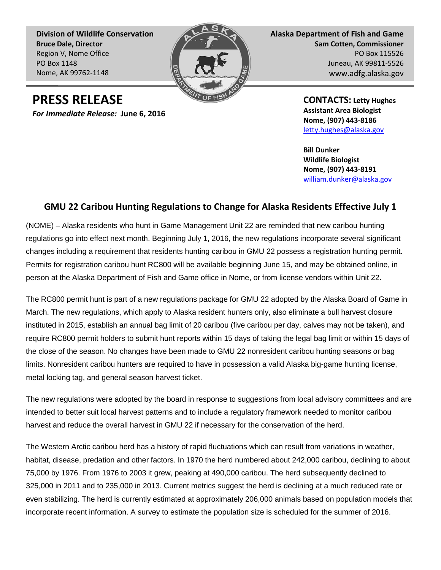**Division of Wildlife Conservation Bruce Dale, Director** Region V, Nome Office PO Box 1148 Nome, AK 99762-1148



**Alaska Department of Fish and Game Sam Cotten, Commissioner** PO Box 115526 Juneau, AK 99811-5526 www.adfg.alaska.gov

**PRESS RELEASE**

*For Immediate Release:* **June 6, 2016**

**CONTACTS: Letty Hughes Assistant Area Biologist Nome, (907) 443-8186** [letty.hughes@alaska.gov](mailto:letty.hughes@alaska.gov)

**Bill Dunker Wildlife Biologist Nome, (907) 443-8191** [william.dunker@alaska.gov](mailto:william.dunker@alaska.gov)

## **GMU 22 Caribou Hunting Regulations to Change for Alaska Residents Effective July 1**

(NOME) – Alaska residents who hunt in Game Management Unit 22 are reminded that new caribou hunting regulations go into effect next month. Beginning July 1, 2016, the new regulations incorporate several significant changes including a requirement that residents hunting caribou in GMU 22 possess a registration hunting permit. Permits for registration caribou hunt RC800 will be available beginning June 15, and may be obtained online, in person at the Alaska Department of Fish and Game office in Nome, or from license vendors within Unit 22.

The RC800 permit hunt is part of a new regulations package for GMU 22 adopted by the Alaska Board of Game in March. The new regulations, which apply to Alaska resident hunters only, also eliminate a bull harvest closure instituted in 2015, establish an annual bag limit of 20 caribou (five caribou per day, calves may not be taken), and require RC800 permit holders to submit hunt reports within 15 days of taking the legal bag limit or within 15 days of the close of the season. No changes have been made to GMU 22 nonresident caribou hunting seasons or bag limits. Nonresident caribou hunters are required to have in possession a valid Alaska big-game hunting license, metal locking tag, and general season harvest ticket.

The new regulations were adopted by the board in response to suggestions from local advisory committees and are intended to better suit local harvest patterns and to include a regulatory framework needed to monitor caribou harvest and reduce the overall harvest in GMU 22 if necessary for the conservation of the herd.

The Western Arctic caribou herd has a history of rapid fluctuations which can result from variations in weather, habitat, disease, predation and other factors. In 1970 the herd numbered about 242,000 caribou, declining to about 75,000 by 1976. From 1976 to 2003 it grew, peaking at 490,000 caribou. The herd subsequently declined to 325,000 in 2011 and to 235,000 in 2013. Current metrics suggest the herd is declining at a much reduced rate or even stabilizing. The herd is currently estimated at approximately 206,000 animals based on population models that incorporate recent information. A survey to estimate the population size is scheduled for the summer of 2016.